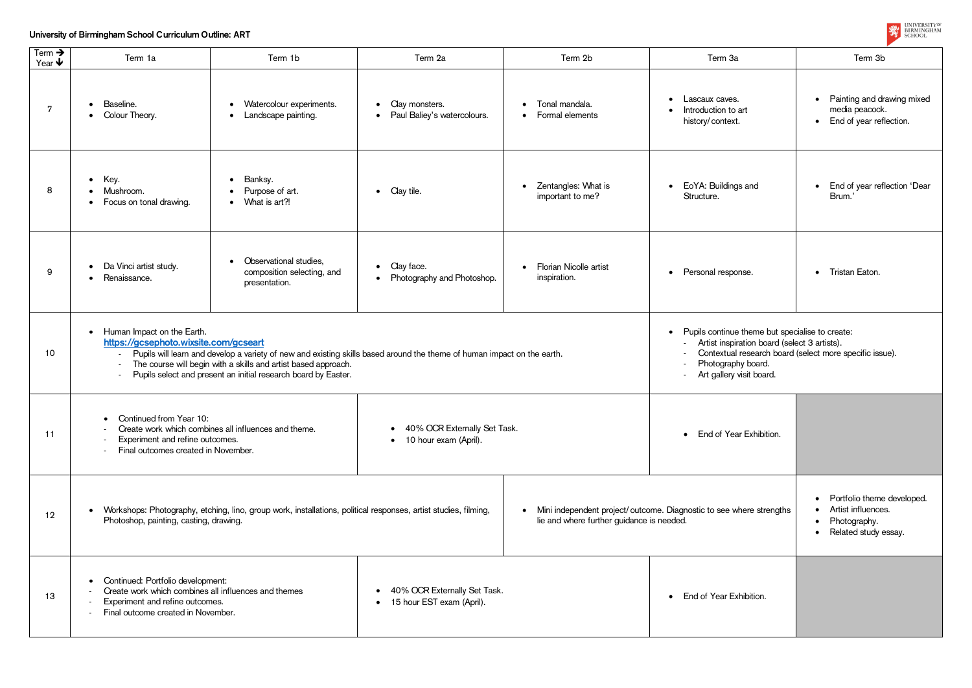## **University of Birmingham School Curriculum Outline: ART**

| Term $\rightarrow$<br>Year $\blacklozenge$ | Term 1a                                                                                                                                                                                                                                                                                                                                                                               | Term 1b                                                                                                                                                    | Term 2a                                                                  | Term 2b                                              | Term 3a                                                                | Term 3b                                                                                           |
|--------------------------------------------|---------------------------------------------------------------------------------------------------------------------------------------------------------------------------------------------------------------------------------------------------------------------------------------------------------------------------------------------------------------------------------------|------------------------------------------------------------------------------------------------------------------------------------------------------------|--------------------------------------------------------------------------|------------------------------------------------------|------------------------------------------------------------------------|---------------------------------------------------------------------------------------------------|
| 7                                          | Baseline.<br>• Colour Theory.                                                                                                                                                                                                                                                                                                                                                         | Watercolour experiments.<br>$\bullet$<br>Landscape painting.<br>$\bullet$                                                                                  | Clay monsters.<br>$\bullet$<br>Paul Baliey's watercolours.<br>$\bullet$  | Tonal mandala.<br>$\bullet$<br>Formal elements       | Lascaux caves.<br>$\bullet$<br>Introduction to art<br>history/context. | Painting and drawing mixed<br>$\bullet$<br>media peacock.<br>End of year reflection.<br>$\bullet$ |
| 8                                          | Key.<br>$\bullet$<br>Mushroom.<br>Focus on tonal drawing.                                                                                                                                                                                                                                                                                                                             | Banksy.<br>$\bullet$<br>Purpose of art.<br>What is art?!                                                                                                   | • Clay tile.                                                             | Zentangles: What is<br>$\bullet$<br>important to me? | EoYA: Buildings and<br>$\bullet$<br>Structure.                         | End of year reflection 'Dear<br>Brum.                                                             |
| 9                                          | Da Vinci artist study.<br>$\bullet$<br>Renaissance.                                                                                                                                                                                                                                                                                                                                   | Observational studies,<br>composition selecting, and<br>presentation.                                                                                      | Clay face.<br>$\bullet$<br>Photography and Photoshop.                    | Florian Nicolle artist<br>$\bullet$<br>inspiration.  | • Personal response.                                                   | • Tristan Eaton.                                                                                  |
| 10                                         | Human Impact on the Earth.<br>$\bullet$<br>https://gcsephoto.wixsite.com/gcseart<br>Pupils will learn and develop a variety of new and existing skills based around the theme of human impact on the earth.<br>The course will begin with a skills and artist based approach.<br>$\overline{\phantom{a}}$<br>Pupils select and present an initial research board by Easter.<br>$\sim$ | Pupils continue theme but specialise to create:<br>Artist inspiration board (select 3 artists).<br>Contextual research board (select more specific issue). |                                                                          |                                                      |                                                                        |                                                                                                   |
| 11                                         | Continued from Year 10:<br>Create work which combines all influences and theme.<br>• 40% OCR Externally Set Task.<br>Experiment and refine outcomes.<br>10 hour exam (April).<br>Final outcomes created in November.                                                                                                                                                                  |                                                                                                                                                            |                                                                          | End of Year Exhibition.                              |                                                                        |                                                                                                   |
| 12                                         | Workshops: Photography, etching, lino, group work, installations, political responses, artist studies, filming,<br>Photoshop, painting, casting, drawing.                                                                                                                                                                                                                             | Portfolio theme developed.<br>$\bullet$<br>Artist influences.<br>$\bullet$<br>Photography.<br>$\bullet$<br>• Related study essay.                          |                                                                          |                                                      |                                                                        |                                                                                                   |
| 13                                         | Continued: Portfolio development:<br>$\bullet$<br>Create work which combines all influences and themes<br>Experiment and refine outcomes.<br>Final outcome created in November.                                                                                                                                                                                                       |                                                                                                                                                            | 40% OCR Externally Set Task.<br>$\bullet$<br>• 15 hour EST exam (April). |                                                      | End of Year Exhibition.<br>$\bullet$                                   |                                                                                                   |



| ar Exhibition.  |                                                                                                                    |
|-----------------|--------------------------------------------------------------------------------------------------------------------|
| where strengths | Portfolio theme developed.<br>$\bullet$<br>Artist influences.<br>Photography.<br>$\bullet$<br>Related study essay. |
| xhibition.      |                                                                                                                    |